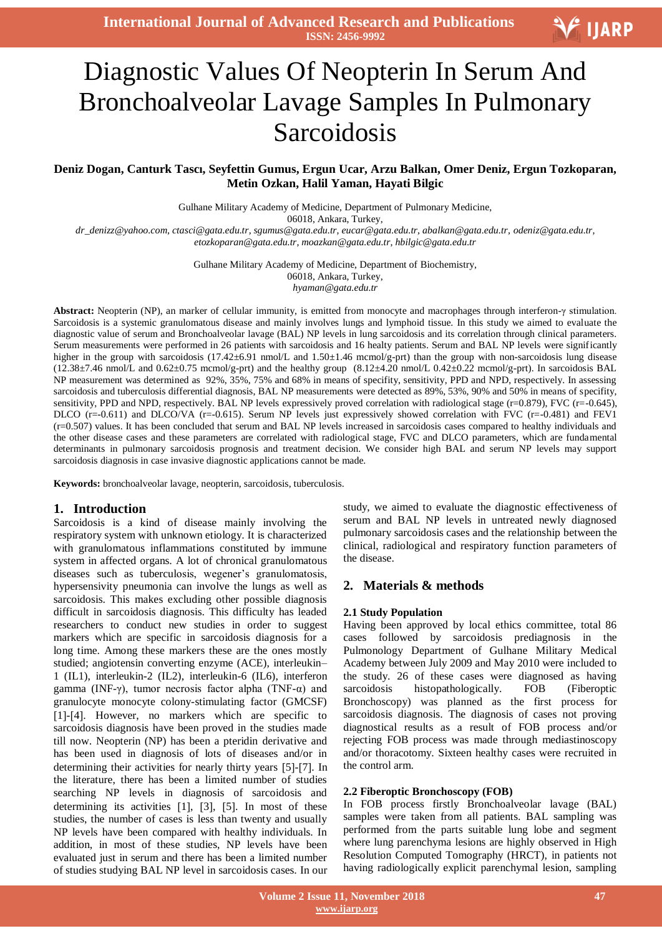**International Journal of Advanced Research and Publications ISSN: 2456-9992**

# V IJARP  $\overline{\phantom{a}}$ Diagnostic Values Of Neopterin In Serum And Bronchoalveolar Lavage Samples In Pulmonary

# Sarcoidosis

# **Deniz Dogan, Canturk Tascı, Seyfettin Gumus, Ergun Ucar, Arzu Balkan, Omer Deniz, Ergun Tozkoparan, Metin Ozkan, Halil Yaman, Hayati Bilgic**

Gulhane Military Academy of Medicine, Department of Pulmonary Medicine, 06018, Ankara, Turkey, *dr\_denizz@yahoo.com, ctasci@gata.edu.tr, sgumus@gata.edu.tr, eucar@gata.edu.tr, abalkan@gata.edu.tr, odeniz@gata.edu.tr, etozkoparan@gata.edu.tr, moazkan@gata.edu.tr, hbilgic@gata.edu.tr*

> Gulhane Military Academy of Medicine, Department of Biochemistry, 06018, Ankara, Turkey, *hyaman@gata.edu.tr*

**Abstract:** Neopterin (NP), an marker of cellular immunity, is emitted from monocyte and macrophages through interferon-γ stimulation. Sarcoidosis is a systemic granulomatous disease and mainly involves lungs and lymphoid tissue. In this study we aimed to evaluate the diagnostic value of serum and Bronchoalveolar lavage (BAL) NP levels in lung sarcoidosis and its correlation through clinical parameters. Serum measurements were performed in 26 patients with sarcoidosis and 16 healty patients. Serum and BAL NP levels were significantly higher in the group with sarcoidosis (17.42±6.91 nmol/L and 1.50±1.46 mcmol/g-prt) than the group with non-sarcoidosis lung disease  $(12.38\pm7.46 \text{ nmol/L}$  and  $0.62\pm0.75 \text{ mmol/g-prt}$  and the healthy group  $(8.12\pm4.20 \text{ nmol/L } 0.42\pm0.22 \text{ mmol/g-prt})$ . In sarcoidosis BAL NP measurement was determined as 92%, 35%, 75% and 68% in means of specifity, sensitivity, PPD and NPD, respectively. In assessing sarcoidosis and tuberculosis differential diagnosis, BAL NP measurements were detected as 89%, 53%, 90% and 50% in means of specifity, sensitivity, PPD and NPD, respectively. BAL NP levels expressively proved correlation with radiological stage (r=0.879), FVC (r=-0.645), DLCO  $(r=-0.611)$  and DLCO/VA  $(r=-0.615)$ . Serum NP levels just expressively showed correlation with FVC  $(r=-0.481)$  and FEV1 (r=0.507) values. It has been concluded that serum and BAL NP levels increased in sarcoidosis cases compared to healthy individuals and the other disease cases and these parameters are correlated with radiological stage, FVC and DLCO parameters, which are fundamental determinants in pulmonary sarcoidosis prognosis and treatment decision. We consider high BAL and serum NP levels may support sarcoidosis diagnosis in case invasive diagnostic applications cannot be made.

**Keywords:** bronchoalveolar lavage, neopterin, sarcoidosis, tuberculosis.

#### **1. Introduction**

Sarcoidosis is a kind of disease mainly involving the respiratory system with unknown etiology. It is characterized with granulomatous inflammations constituted by immune system in affected organs. A lot of chronical granulomatous diseases such as tuberculosis, wegener's granulomatosis, hypersensivity pneumonia can involve the lungs as well as sarcoidosis. This makes excluding other possible diagnosis difficult in sarcoidosis diagnosis. This difficulty has leaded researchers to conduct new studies in order to suggest markers which are specific in sarcoidosis diagnosis for a long time. Among these markers these are the ones mostly studied; angiotensin converting enzyme (ACE), interleukin– 1 (IL1), interleukin-2 (IL2), interleukin-6 (IL6), interferon gamma (INF-γ), tumor necrosis factor alpha (TNF-α) and granulocyte monocyte colony-stimulating factor (GMCSF) [1]-[4]. However, no markers which are specific to sarcoidosis diagnosis have been proved in the studies made till now. Neopterin (NP) has been a pteridin derivative and has been used in diagnosis of lots of diseases and/or in determining their activities for nearly thirty years [5]-[7]. In the literature, there has been a limited number of studies searching NP levels in diagnosis of sarcoidosis and determining its activities  $[1]$ ,  $[3]$ ,  $[5]$ . In most of these studies, the number of cases is less than twenty and usually NP levels have been compared with healthy individuals. In addition, in most of these studies, NP levels have been evaluated just in serum and there has been a limited number of studies studying BAL NP level in sarcoidosis cases. In our study, we aimed to evaluate the diagnostic effectiveness of serum and BAL NP levels in untreated newly diagnosed pulmonary sarcoidosis cases and the relationship between the clinical, radiological and respiratory function parameters of the disease.

# **2. Materials & methods**

#### **2.1 Study Population**

Having been approved by local ethics committee, total 86 cases followed by sarcoidosis prediagnosis in the Pulmonology Department of Gulhane Military Medical Academy between July 2009 and May 2010 were included to the study. 26 of these cases were diagnosed as having sarcoidosis histopathologically. FOB (Fiberoptic Bronchoscopy) was planned as the first process for sarcoidosis diagnosis. The diagnosis of cases not proving diagnostical results as a result of FOB process and/or rejecting FOB process was made through mediastinoscopy and/or thoracotomy. Sixteen healthy cases were recruited in the control arm.

#### **2.2 Fiberoptic Bronchoscopy (FOB)**

In FOB process firstly Bronchoalveolar lavage (BAL) samples were taken from all patients. BAL sampling was performed from the parts suitable lung lobe and segment where lung parenchyma lesions are highly observed in High Resolution Computed Tomography (HRCT), in patients not having radiologically explicit parenchymal lesion, sampling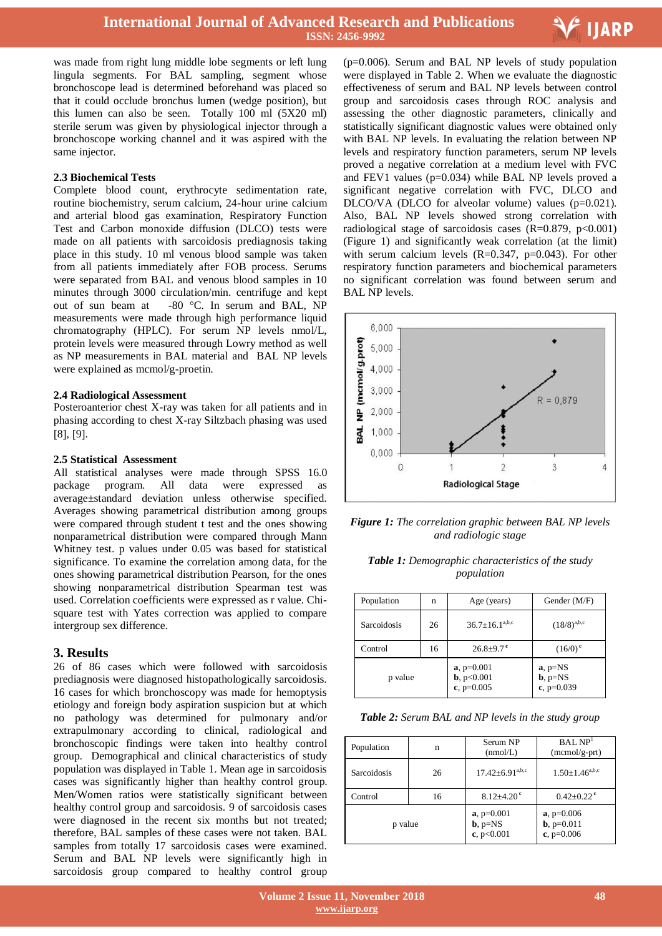

was made from right lung middle lobe segments or left lung lingula segments. For BAL sampling, segment whose bronchoscope lead is determined beforehand was placed so that it could occlude bronchus lumen (wedge position), but this lumen can also be seen. Totally 100 ml (5X20 ml) sterile serum was given by physiological injector through a bronchoscope working channel and it was aspired with the same injector.

#### **2.3 Biochemical Tests**

Complete blood count, erythrocyte sedimentation rate, routine biochemistry, serum calcium, 24-hour urine calcium and arterial blood gas examination, Respiratory Function Test and Carbon monoxide diffusion (DLCO) tests were made on all patients with sarcoidosis prediagnosis taking place in this study. 10 ml venous blood sample was taken from all patients immediately after FOB process. Serums were separated from BAL and venous blood samples in 10 minutes through 3000 circulation/min. centrifuge and kept out of sun beam at -80 °C. In serum and BAL, NP measurements were made through high performance liquid chromatography (HPLC). For serum NP levels nmol/L, protein levels were measured through Lowry method as well as NP measurements in BAL material and BAL NP levels were explained as mcmol/g-proetin.

#### **2.4 Radiological Assessment**

Posteroanterior chest X-ray was taken for all patients and in phasing according to chest X-ray Siltzbach phasing was used  $[8]$ ,  $[9]$ .

## **2.5 Statistical Assessment**

All statistical analyses were made through SPSS 16.0 package program. All data were expressed as average±standard deviation unless otherwise specified. Averages showing parametrical distribution among groups were compared through student t test and the ones showing nonparametrical distribution were compared through Mann Whitney test. p values under 0.05 was based for statistical significance. To examine the correlation among data, for the ones showing parametrical distribution Pearson, for the ones showing nonparametrical distribution Spearman test was used. Correlation coefficients were expressed as r value. Chisquare test with Yates correction was applied to compare intergroup sex difference.

# **3. Results**

26 of 86 cases which were followed with sarcoidosis prediagnosis were diagnosed histopathologically sarcoidosis. 16 cases for which bronchoscopy was made for hemoptysis etiology and foreign body aspiration suspicion but at which no pathology was determined for pulmonary and/or extrapulmonary according to clinical, radiological and bronchoscopic findings were taken into healthy control group. Demographical and clinical characteristics of study population was displayed in Table 1. Mean age in sarcoidosis cases was significantly higher than healthy control group. Men/Women ratios were statistically significant between healthy control group and sarcoidosis. 9 of sarcoidosis cases were diagnosed in the recent six months but not treated; therefore, BAL samples of these cases were not taken. BAL samples from totally 17 sarcoidosis cases were examined. Serum and BAL NP levels were significantly high in sarcoidosis group compared to healthy control group

 (p=0.006). Serum and BAL NP levels of study population were displayed in Table 2. When we evaluate the diagnostic effectiveness of serum and BAL NP levels between control group and sarcoidosis cases through ROC analysis and assessing the other diagnostic parameters, clinically and statistically significant diagnostic values were obtained only with BAL NP levels. In evaluating the relation between NP levels and respiratory function parameters, serum NP levels proved a negative correlation at a medium level with FVC and FEV1 values (p=0.034) while BAL NP levels proved a significant negative correlation with FVC, DLCO and DLCO/VA (DLCO for alveolar volume) values (p=0.021). Also, BAL NP levels showed strong correlation with radiological stage of sarcoidosis cases  $(R=0.879, p<0.001)$ (Figure 1) and significantly weak correlation (at the limit) with serum calcium levels  $(R=0.347, p=0.043)$ . For other respiratory function parameters and biochemical parameters no significant correlation was found between serum and BAL NP levels.



*Figure 1: The correlation graphic between BAL NP levels and radiologic stage*

| <b>Table 1:</b> Demographic characteristics of the study |            |  |  |
|----------------------------------------------------------|------------|--|--|
|                                                          | population |  |  |

| Population        | n  | Age (years)                                  | Gender (M/F)                                 |  |
|-------------------|----|----------------------------------------------|----------------------------------------------|--|
| Sarcoidosis<br>26 |    | $36.7 \pm 16.1^{a,b,c}$                      | $(18/8)^{a,b,c}$                             |  |
| Control           | 16 | $26.8 \pm 9.7$ <sup>c</sup>                  | $(16/0)^{\circ}$                             |  |
| p value           |    | $a, p=0.001$<br>$b, p<0.001$<br>$c, p=0.005$ | $a$ , $p=NS$<br>$b$ , $p=NS$<br>$c, p=0.039$ |  |

| Table 2: Serum BAL and NP levels in the study group |  |  |  |  |  |  |
|-----------------------------------------------------|--|--|--|--|--|--|
|-----------------------------------------------------|--|--|--|--|--|--|

| Population  | n  | Serum NP<br>(nmol/L)                       | BAL NP <sup>1</sup><br>$(mcmol/g-prt)$          |  |
|-------------|----|--------------------------------------------|-------------------------------------------------|--|
| Sarcoidosis | 26 | $17.42 \pm 6.91^{\text{a,b,c}}$            | $1.50 \pm 1.46^{\text{a},\text{b},\text{c}}$    |  |
| Control     | 16 | $8.12 + 4.20$ <sup>c</sup>                 | $0.42 + 0.22$ <sup>c</sup>                      |  |
| p value     |    | $a, p=0.001$<br>$b$ , $p=NS$<br>c, p<0.001 | $a, p=0.006$<br>$b$ , $p=0.011$<br>c, $p=0.006$ |  |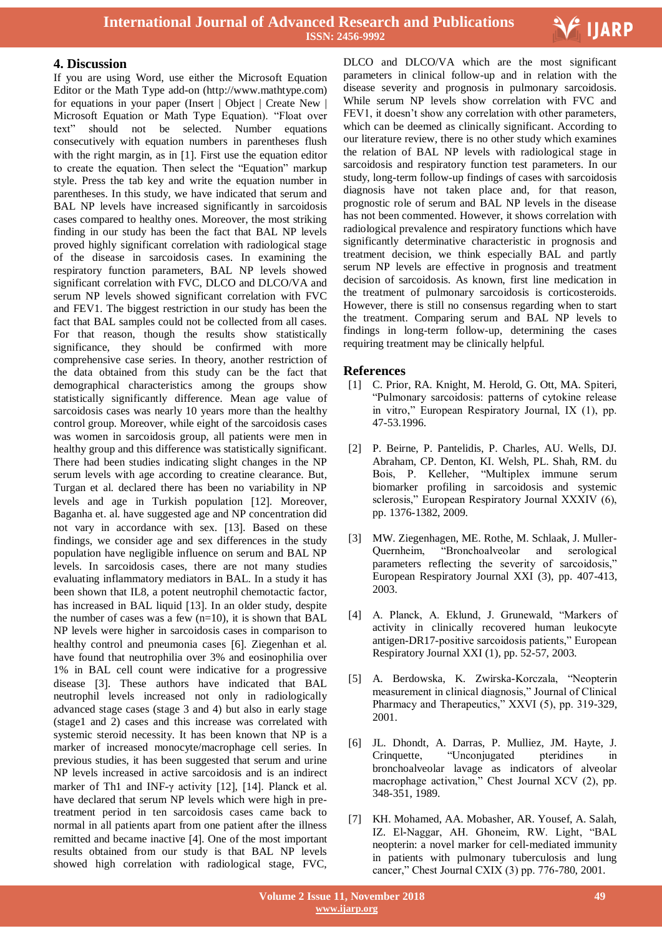

## **4. Discussion**

If you are using Word, use either the Microsoft Equation Editor or the Math Type add-on (http://www.mathtype.com) for equations in your paper (Insert | Object | Create New | Microsoft Equation or Math Type Equation). "Float over text" should not be selected. Number equations consecutively with equation numbers in parentheses flush with the right margin, as in  $[1]$ . First use the equation editor to create the equation. Then select the "Equation" markup style. Press the tab key and write the equation number in parentheses. In this study, we have indicated that serum and BAL NP levels have increased significantly in sarcoidosis cases compared to healthy ones. Moreover, the most striking finding in our study has been the fact that BAL NP levels proved highly significant correlation with radiological stage of the disease in sarcoidosis cases. In examining the respiratory function parameters, BAL NP levels showed significant correlation with FVC, DLCO and DLCO/VA and serum NP levels showed significant correlation with FVC and FEV1. The biggest restriction in our study has been the fact that BAL samples could not be collected from all cases. For that reason, though the results show statistically significance, they should be confirmed with more comprehensive case series. In theory, another restriction of the data obtained from this study can be the fact that demographical characteristics among the groups show statistically significantly difference. Mean age value of sarcoidosis cases was nearly 10 years more than the healthy control group. Moreover, while eight of the sarcoidosis cases was women in sarcoidosis group, all patients were men in healthy group and this difference was statistically significant. There had been studies indicating slight changes in the NP serum levels with age according to creatine clearance. But, Turgan et al. declared there has been no variability in NP levels and age in Turkish population [12]. Moreover, Baganha et. al. have suggested age and NP concentration did not vary in accordance with sex. [13]. Based on these findings, we consider age and sex differences in the study population have negligible influence on serum and BAL NP levels. In sarcoidosis cases, there are not many studies evaluating inflammatory mediators in BAL. In a study it has been shown that IL8, a potent neutrophil chemotactic factor, has increased in BAL liquid [13]. In an older study, despite the number of cases was a few  $(n=10)$ , it is shown that BAL NP levels were higher in sarcoidosis cases in comparison to healthy control and pneumonia cases [6]. Ziegenhan et al. have found that neutrophilia over 3% and eosinophilia over 1% in BAL cell count were indicative for a progressive disease [3]. These authors have indicated that BAL neutrophil levels increased not only in radiologically advanced stage cases (stage 3 and 4) but also in early stage (stage1 and 2) cases and this increase was correlated with systemic steroid necessity. It has been known that NP is a marker of increased monocyte/macrophage cell series. In previous studies, it has been suggested that serum and urine NP levels increased in active sarcoidosis and is an indirect marker of Th1 and INF- $\gamma$  activity [12], [14]. Planck et al. have declared that serum NP levels which were high in pretreatment period in ten sarcoidosis cases came back to normal in all patients apart from one patient after the illness remitted and became inactive [4]. One of the most important results obtained from our study is that BAL NP levels showed high correlation with radiological stage, FVC,

 DLCO and DLCO/VA which are the most significant parameters in clinical follow-up and in relation with the disease severity and prognosis in pulmonary sarcoidosis. While serum NP levels show correlation with FVC and FEV1, it doesn't show any correlation with other parameters, which can be deemed as clinically significant. According to our literature review, there is no other study which examines the relation of BAL NP levels with radiological stage in sarcoidosis and respiratory function test parameters. In our study, long-term follow-up findings of cases with sarcoidosis diagnosis have not taken place and, for that reason, prognostic role of serum and BAL NP levels in the disease has not been commented. However, it shows correlation with radiological prevalence and respiratory functions which have significantly determinative characteristic in prognosis and treatment decision, we think especially BAL and partly serum NP levels are effective in prognosis and treatment decision of sarcoidosis. As known, first line medication in the treatment of pulmonary sarcoidosis is corticosteroids. However, there is still no consensus regarding when to start the treatment. Comparing serum and BAL NP levels to findings in long-term follow-up, determining the cases requiring treatment may be clinically helpful.

# **References**

- [1] C. Prior, RA. Knight, M. Herold, G. Ott, MA. Spiteri, "Pulmonary sarcoidosis: patterns of cytokine release in vitro," European Respiratory Journal, IX (1), pp. 47-53.1996.
- [2] P. Beirne, P. Pantelidis, P. Charles, AU. Wells, DJ. Abraham, CP. Denton, KI. Welsh, PL. Shah, RM. du Bois, P. Kelleher, "Multiplex immune serum biomarker profiling in sarcoidosis and systemic sclerosis," European Respiratory Journal XXXIV (6), pp. 1376-1382, 2009.
- [3] MW. Ziegenhagen, ME. Rothe, M. Schlaak, J. Muller-Quernheim, "Bronchoalveolar and serological parameters reflecting the severity of sarcoidosis," European Respiratory Journal XXI (3), pp. 407-413, 2003.
- [4] A. Planck, A. Eklund, J. Grunewald, "Markers of activity in clinically recovered human leukocyte antigen-DR17-positive sarcoidosis patients," European Respiratory Journal XXI (1), pp. 52-57, 2003.
- [5] A. Berdowska, K. Zwirska-Korczala, "Neopterin measurement in clinical diagnosis," Journal of Clinical Pharmacy and Therapeutics," XXVI (5), pp. 319-329, 2001.
- [6] JL. Dhondt, A. Darras, P. Mulliez, JM. Hayte, J. Crinquette, "Unconjugated pteridines in bronchoalveolar lavage as indicators of alveolar macrophage activation," Chest Journal XCV (2), pp. 348-351, 1989.
- [7] KH. Mohamed, AA. Mobasher, AR. Yousef, A. Salah, IZ. El-Naggar, AH. Ghoneim, RW. Light, "BAL neopterin: a novel marker for cell-mediated immunity in patients with pulmonary tuberculosis and lung cancer," Chest Journal CXIX (3) pp. 776-780, 2001.